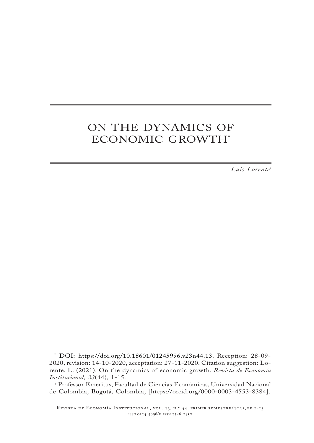# ON THE DYNAMICS OF ECONOMIC GROWTH**\***

*Luis Lorente*a

\* DOI: https://doi.org/10.18601/01245996.v23n44.13. Reception: 28-09- 2020, revision: 14-10-2020, acceptation: 27-11-2020. Citation suggestion: Lorente, L. (2021). On the dynamics of economic growth. *Revista de Economía Institucional*, *23*(44), 1-15.

a Professor Emeritus, Facultad de Ciencias Económicas, Universidad Nacional de Colombia, Bogotá, Colombia, [https://orcid.org/0000-0003-4553-8384].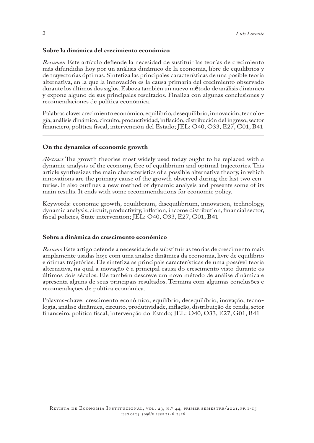#### **Sobre la dinámica del crecimiento económico**

*Resumen* Este artículo defiende la necesidad de sustituir las teorías de crecimiento más difundidas hoy por un análisis dinámico de la economía, libre de equilibrios y de trayectorias óptimas. Sintetiza las principales características de una posible teoría alternativa, en la que la innovación es la causa primaria del crecimiento observado durante los últimos dos siglos. Esboza también un nuevo método de análisis dinámico y expone alguno de sus principales resultados. Finaliza con algunas conclusiones y recomendaciones de política económica.

Palabras clave: crecimiento económico, equilibrio, desequilibrio, innovación, tecnología, análisis dinámico, circuito, productividad, inflación, distribución del ingreso, sector financiero, política fiscal, intervención del Estado; JEL: O40, O33, E27, G01, B41

#### **On the dynamics of economic growth**

*Abstract* The growth theories most widely used today ought to be replaced with a dynamic analysis of the economy, free of equilibrium and optimal trajectories. This article synthesizes the main characteristics of a possible alternative theory, in which innovations are the primary cause of the growth observed during the last two centuries. It also outlines a new method of dynamic analysis and presents some of its main results. It ends with some recommendations for economic policy.

Keywords: economic growth, equilibrium, disequilibrium, innovation, technology, dynamic analysis, circuit, productivity, inflation, income distribution, financial sector, fiscal policies, State intervention; JEL: O40, O33, E27, G01, B41

#### **Sobre a dinâmica do crescimento econômico**

*Resumo* Este artigo defende a necessidade de substituir as teorias de crescimento mais amplamente usadas hoje com uma análise dinâmica da economia, livre de equilíbrio e ótimas trajetórias. Ele sintetiza as principais características de uma possível teoria alternativa, na qual a inovação é a principal causa do crescimento visto durante os últimos dois séculos. Ele também descreve um novo método de análise dinâmica e apresenta alguns de seus principais resultados. Termina com algumas conclusões e recomendações de política económica.

Palavras-chave: crescimento econômico, equilíbrio, desequilíbrio, inovação, tecnologia, análise dinâmica, circuito, produtividade, inflação, distribuição de renda, setor financeiro, política fiscal, intervenção do Estado; JEL: O40, O33, E27, G01, B41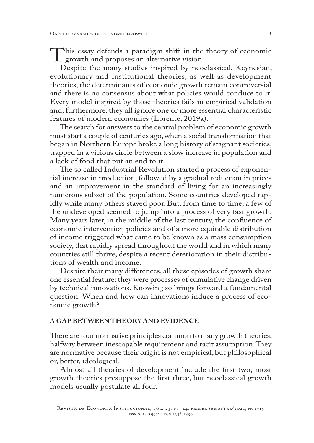This essay defends a paradigm shift in the theory of economic<br>growth and proposes an alternative vision.<br>Despite the many studies inspired by neoclassical, Keynesian, growth and proposes an alternative vision.

Despite the many studies inspired by neoclassical, Keynesian, evolutionary and institutional theories, as well as development theories, the determinants of economic growth remain controversial and there is no consensus about what policies would conduce to it. Every model inspired by those theories fails in empirical validation and, furthermore, they all ignore one or more essential characteristic features of modern economies (Lorente, 2019a).

The search for answers to the central problem of economic growth must start a couple of centuries ago, when a social transformation that began in Northern Europe broke a long history of stagnant societies, trapped in a vicious circle between a slow increase in population and a lack of food that put an end to it.

The so called Industrial Revolution started a process of exponential increase in production, followed by a gradual reduction in prices and an improvement in the standard of living for an increasingly numerous subset of the population. Some countries developed rapidly while many others stayed poor. But, from time to time, a few of the undeveloped seemed to jump into a process of very fast growth. Many years later, in the middle of the last century, the confluence of economic intervention policies and of a more equitable distribution of income triggered what came to be known as a mass consumption society, that rapidly spread throughout the world and in which many countries still thrive, despite a recent deterioration in their distributions of wealth and income.

Despite their many differences, all these episodes of growth share one essential feature: they were processes of cumulative change driven by technical innovations. Knowing so brings forward a fundamental question: When and how can innovations induce a process of economic growth?

#### **A GAP BETWEEN THEORY AND EVIDENCE**

There are four normative principles common to many growth theories, halfway between inescapable requirement and tacit assumption. They are normative because their origin is not empirical, but philosophical or, better, ideological.

Almost all theories of development include the first two; most growth theories presuppose the first three, but neoclassical growth models usually postulate all four.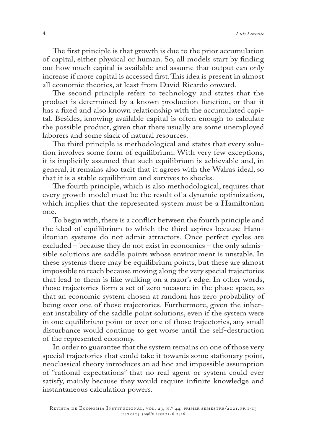The first principle is that growth is due to the prior accumulation of capital, either physical or human. So, all models start by finding out how much capital is available and assume that output can only increase if more capital is accessed first. This idea is present in almost all economic theories, at least from David Ricardo onward.

The second principle refers to technology and states that the product is determined by a known production function, or that it has a fixed and also known relationship with the accumulated capital. Besides, knowing available capital is often enough to calculate the possible product, given that there usually are some unemployed laborers and some slack of natural resources.

The third principle is methodological and states that every solution involves some form of equilibrium. With very few exceptions, it is implicitly assumed that such equilibrium is achievable and, in general, it remains also tacit that it agrees with the Walras ideal, so that it is a stable equilibrium and survives to shocks.

The fourth principle, which is also methodological, requires that every growth model must be the result of a dynamic optimization, which implies that the represented system must be a Hamiltonian one.

To begin with, there is a conflict between the fourth principle and the ideal of equilibrium to which the third aspires because Hamiltonian systems do not admit attractors. Once perfect cycles are excluded – because they do not exist in economics – the only admissible solutions are saddle points whose environment is unstable. In these systems there may be equilibrium points, but these are almost impossible to reach because moving along the very special trajectories that lead to them is like walking on a razor's edge. In other words, those trajectories form a set of zero measure in the phase space, so that an economic system chosen at random has zero probability of being over one of those trajectories. Furthermore, given the inherent instability of the saddle point solutions, even if the system were in one equilibrium point or over one of those trajectories, any small disturbance would continue to get worse until the self-destruction of the represented economy.

In order to guarantee that the system remains on one of those very special trajectories that could take it towards some stationary point, neoclassical theory introduces an ad hoc and impossible assumption of "rational expectations" that no real agent or system could ever satisfy, mainly because they would require infinite knowledge and instantaneous calculation powers.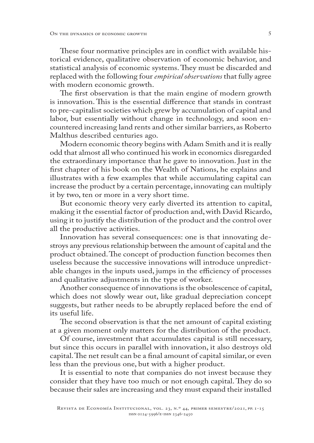These four normative principles are in conflict with available historical evidence, qualitative observation of economic behavior, and statistical analysis of economic systems. They must be discarded and replaced with the following four *empirical observations* that fully agree with modern economic growth.

The first observation is that the main engine of modern growth is innovation. This is the essential difference that stands in contrast to pre-capitalist societies which grew by accumulation of capital and labor, but essentially without change in technology, and soon encountered increasing land rents and other similar barriers, as Roberto Malthus described centuries ago.

Modern economic theory begins with Adam Smith and it is really odd that almost all who continued his work in economics disregarded the extraordinary importance that he gave to innovation. Just in the first chapter of his book on the Wealth of Nations, he explains and illustrates with a few examples that while accumulating capital can increase the product by a certain percentage, innovating can multiply it by two, ten or more in a very short time.

But economic theory very early diverted its attention to capital, making it the essential factor of production and, with David Ricardo, using it to justify the distribution of the product and the control over all the productive activities.

Innovation has several consequences: one is that innovating destroys any previous relationship between the amount of capital and the product obtained. The concept of production function becomes then useless because the successive innovations will introduce unpredictable changes in the inputs used, jumps in the efficiency of processes and qualitative adjustments in the type of worker.

Another consequence of innovations is the obsolescence of capital, which does not slowly wear out, like gradual depreciation concept suggests, but rather needs to be abruptly replaced before the end of its useful life.

The second observation is that the net amount of capital existing at a given moment only matters for the distribution of the product.

Of course, investment that accumulates capital is still necessary, but since this occurs in parallel with innovation, it also destroys old capital. The net result can be a final amount of capital similar, or even less than the previous one, but with a higher product.

It is essential to note that companies do not invest because they consider that they have too much or not enough capital. They do so because their sales are increasing and they must expand their installed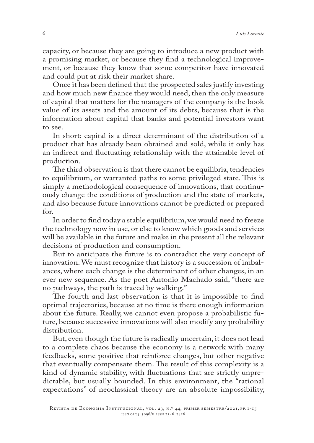capacity, or because they are going to introduce a new product with a promising market, or because they find a technological improvement, or because they know that some competitor have innovated and could put at risk their market share.

Once it has been defined that the prospected sales justify investing and how much new finance they would need, then the only measure of capital that matters for the managers of the company is the book value of its assets and the amount of its debts, because that is the information about capital that banks and potential investors want to see.

In short: capital is a direct determinant of the distribution of a product that has already been obtained and sold, while it only has an indirect and fluctuating relationship with the attainable level of production.

The third observation is that there cannot be equilibria, tendencies to equilibrium, or warranted paths to some privileged state. This is simply a methodological consequence of innovations, that continuously change the conditions of production and the state of markets, and also because future innovations cannot be predicted or prepared for.

In order to find today a stable equilibrium, we would need to freeze the technology now in use, or else to know which goods and services will be available in the future and make in the present all the relevant decisions of production and consumption.

But to anticipate the future is to contradict the very concept of innovation. We must recognize that history is a succession of imbalances, where each change is the determinant of other changes, in an ever new sequence. As the poet Antonio Machado said, "there are no pathways, the path is traced by walking."

The fourth and last observation is that it is impossible to find optimal trajectories, because at no time is there enough information about the future. Really, we cannot even propose a probabilistic future, because successive innovations will also modify any probability distribution.

But, even though the future is radically uncertain, it does not lead to a complete chaos because the economy is a network with many feedbacks, some positive that reinforce changes, but other negative that eventually compensate them. The result of this complexity is a kind of dynamic stability, with fluctuations that are strictly unpredictable, but usually bounded. In this environment, the "rational expectations" of neoclassical theory are an absolute impossibility,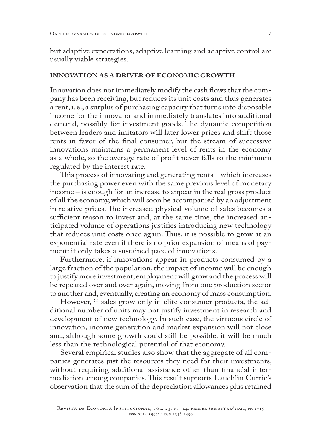but adaptive expectations, adaptive learning and adaptive control are usually viable strategies.

## **INNOVATION AS A DRIVER OF ECONOMIC GROWTH**

Innovation does not immediately modify the cash flows that the company has been receiving, but reduces its unit costs and thus generates a rent, i. e., a surplus of purchasing capacity that turns into disposable income for the innovator and immediately translates into additional demand, possibly for investment goods. The dynamic competition between leaders and imitators will later lower prices and shift those rents in favor of the final consumer, but the stream of successive innovations maintains a permanent level of rents in the economy as a whole, so the average rate of profit never falls to the minimum regulated by the interest rate.

This process of innovating and generating rents – which increases the purchasing power even with the same previous level of monetary income – is enough for an increase to appear in the real gross product of all the economy, which will soon be accompanied by an adjustment in relative prices. The increased physical volume of sales becomes a sufficient reason to invest and, at the same time, the increased anticipated volume of operations justifies introducing new technology that reduces unit costs once again. Thus, it is possible to grow at an exponential rate even if there is no prior expansion of means of payment: it only takes a sustained pace of innovations.

Furthermore, if innovations appear in products consumed by a large fraction of the population, the impact of income will be enough to justify more investment, employment will grow and the process will be repeated over and over again, moving from one production sector to another and, eventually, creating an economy of mass consumption.

However, if sales grow only in elite consumer products, the additional number of units may not justify investment in research and development of new technology. In such case, the virtuous circle of innovation, income generation and market expansion will not close and, although some growth could still be possible, it will be much less than the technological potential of that economy.

Several empirical studies also show that the aggregate of all companies generates just the resources they need for their investments, without requiring additional assistance other than financial intermediation among companies. This result supports Lauchlin Currie's observation that the sum of the depreciation allowances plus retained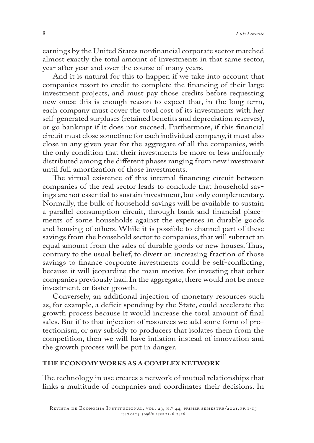earnings by the United States nonfinancial corporate sector matched almost exactly the total amount of investments in that same sector, year after year and over the course of many years.

And it is natural for this to happen if we take into account that companies resort to credit to complete the financing of their large investment projects, and must pay those credits before requesting new ones: this is enough reason to expect that, in the long term, each company must cover the total cost of its investments with her self-generated surpluses (retained benefits and depreciation reserves), or go bankrupt if it does not succeed. Furthermore, if this financial circuit must close sometime for each individual company, it must also close in any given year for the aggregate of all the companies, with the only condition that their investments be more or less uniformly distributed among the different phases ranging from new investment until full amortization of those investments.

The virtual existence of this internal financing circuit between companies of the real sector leads to conclude that household savings are not essential to sustain investment, but only complementary. Normally, the bulk of household savings will be available to sustain a parallel consumption circuit, through bank and financial placements of some households against the expenses in durable goods and housing of others. While it is possible to channel part of these savings from the household sector to companies, that will subtract an equal amount from the sales of durable goods or new houses. Thus, contrary to the usual belief, to divert an increasing fraction of those savings to finance corporate investments could be self-conflicting, because it will jeopardize the main motive for investing that other companies previously had. In the aggregate, there would not be more investment, or faster growth.

Conversely, an additional injection of monetary resources such as, for example, a deficit spending by the State, could accelerate the growth process because it would increase the total amount of final sales. But if to that injection of resources we add some form of protectionism, or any subsidy to producers that isolates them from the competition, then we will have inflation instead of innovation and the growth process will be put in danger.

## **THE ECONOMY WORKS AS A COMPLEX NETWORK**

The technology in use creates a network of mutual relationships that links a multitude of companies and coordinates their decisions. In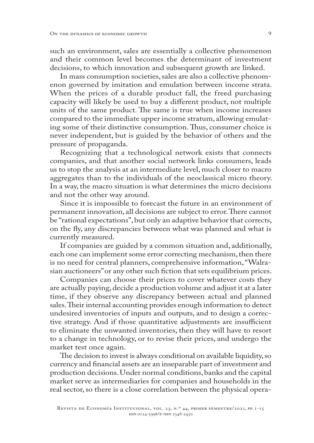such an environment, sales are essentially a collective phenomenon and their common level becomes the determinant of investment decisions, to which innovation and subsequent growth are linked.

In mass consumption societies, sales are also a collective phenomenon governed by imitation and emulation between income strata. When the prices of a durable product fall, the freed purchasing capacity will likely be used to buy a different product, not multiple units of the same product. The same is true when income increases compared to the immediate upper income stratum, allowing emulating some of their distinctive consumption. Thus, consumer choice is never independent, but is guided by the behavior of others and the pressure of propaganda.

Recognizing that a technological network exists that connects companies, and that another social network links consumers, leads us to stop the analysis at an intermediate level, much closer to macro aggregates than to the individuals of the neoclassical micro theory. In a way, the macro situation is what determines the micro decisions and not the other way around.

Since it is impossible to forecast the future in an environment of permanent innovation, all decisions are subject to error. There cannot be "rational expectations", but only an adaptive behavior that corrects, on the fly, any discrepancies between what was planned and what is currently measured.

If companies are guided by a common situation and, additionally, each one can implement some error correcting mechanism, then there is no need for central planners, comprehensive information, "Walrasian auctioneers" or any other such fiction that sets equilibrium prices.

Companies can choose their prices to cover whatever costs they are actually paying, decide a production volume and adjust it at a later time, if they observe any discrepancy between actual and planned sales. Their internal accounting provides enough information to detect undesired inventories of inputs and outputs, and to design a corrective strategy. And if those quantitative adjustments are insufficient to eliminate the unwanted inventories, then they will have to resort to a change in technology, or to revise their prices, and undergo the market test once again.

The decision to invest is always conditional on available liquidity, so currency and financial assets are an inseparable part of investment and production decisions. Under normal conditions, banks and the capital market serve as intermediaries for companies and households in the real sector, so there is a close correlation between the physical opera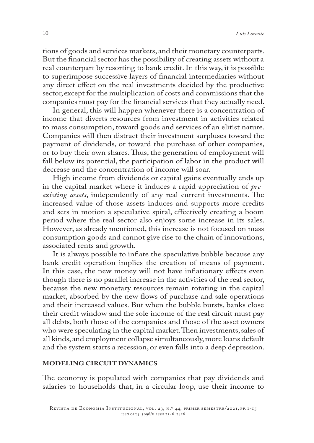tions of goods and services markets, and their monetary counterparts. But the financial sector has the possibility of creating assets without a real counterpart by resorting to bank credit. In this way, it is possible to superimpose successive layers of financial intermediaries without any direct effect on the real investments decided by the productive sector, except for the multiplication of costs and commissions that the companies must pay for the financial services that they actually need.

In general, this will happen whenever there is a concentration of income that diverts resources from investment in activities related to mass consumption, toward goods and services of an elitist nature. Companies will then distract their investment surpluses toward the payment of dividends, or toward the purchase of other companies, or to buy their own shares. Thus, the generation of employment will fall below its potential, the participation of labor in the product will decrease and the concentration of income will soar.

High income from dividends or capital gains eventually ends up in the capital market where it induces a rapid appreciation of *preexisting assets*, independently of any real current investments. The increased value of those assets induces and supports more credits and sets in motion a speculative spiral, effectively creating a boom period where the real sector also enjoys some increase in its sales. However, as already mentioned, this increase is not focused on mass consumption goods and cannot give rise to the chain of innovations, associated rents and growth.

It is always possible to inflate the speculative bubble because any bank credit operation implies the creation of means of payment. In this case, the new money will not have inflationary effects even though there is no parallel increase in the activities of the real sector, because the new monetary resources remain rotating in the capital market, absorbed by the new flows of purchase and sale operations and their increased values. But when the bubble bursts, banks close their credit window and the sole income of the real circuit must pay all debts, both those of the companies and those of the asset owners who were speculating in the capital market. Then investments, sales of all kinds, and employment collapse simultaneously, more loans default and the system starts a recession, or even falls into a deep depression.

# **MODELING CIRCUIT DYNAMICS**

The economy is populated with companies that pay dividends and salaries to households that, in a circular loop, use their income to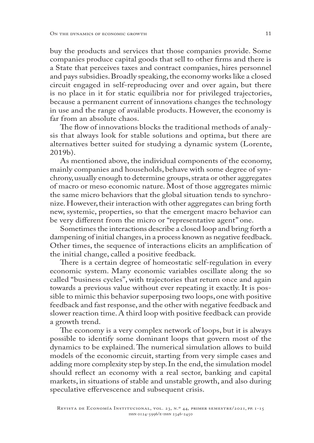buy the products and services that those companies provide. Some companies produce capital goods that sell to other firms and there is a State that perceives taxes and contract companies, hires personnel and pays subsidies. Broadly speaking, the economy works like a closed circuit engaged in self-reproducing over and over again, but there is no place in it for static equilibria nor for privileged trajectories, because a permanent current of innovations changes the technology in use and the range of available products. However, the economy is far from an absolute chaos.

The flow of innovations blocks the traditional methods of analysis that always look for stable solutions and optima, but there are alternatives better suited for studying a dynamic system (Lorente, 2019b).

As mentioned above, the individual components of the economy, mainly companies and households, behave with some degree of synchrony, usually enough to determine groups, strata or other aggregates of macro or meso economic nature. Most of those aggregates mimic the same micro behaviors that the global situation tends to synchronize. However, their interaction with other aggregates can bring forth new, systemic, properties, so that the emergent macro behavior can be very different from the micro or "representative agent" one.

Sometimes the interactions describe a closed loop and bring forth a dampening of initial changes, in a process known as negative feedback. Other times, the sequence of interactions elicits an amplification of the initial change, called a positive feedback.

There is a certain degree of homeostatic self-regulation in every economic system. Many economic variables oscillate along the so called "business cycles", with trajectories that return once and again towards a previous value without ever repeating it exactly. It is possible to mimic this behavior superposing two loops, one with positive feedback and fast response, and the other with negative feedback and slower reaction time. A third loop with positive feedback can provide a growth trend.

The economy is a very complex network of loops, but it is always possible to identify some dominant loops that govern most of the dynamics to be explained. The numerical simulation allows to build models of the economic circuit, starting from very simple cases and adding more complexity step by step. In the end, the simulation model should reflect an economy with a real sector, banking and capital markets, in situations of stable and unstable growth, and also during speculative effervescence and subsequent crisis.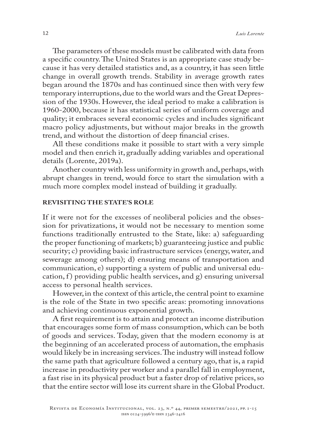The parameters of these models must be calibrated with data from a specific country. The United States is an appropriate case study because it has very detailed statistics and, as a country, it has seen little change in overall growth trends. Stability in average growth rates began around the 1870s and has continued since then with very few temporary interruptions, due to the world wars and the Great Depression of the 1930s. However, the ideal period to make a calibration is 1960-2000, because it has statistical series of uniform coverage and quality; it embraces several economic cycles and includes significant macro policy adjustments, but without major breaks in the growth trend, and without the distortion of deep financial crises.

All these conditions make it possible to start with a very simple model and then enrich it, gradually adding variables and operational details (Lorente, 2019a).

Another country with less uniformity in growth and, perhaps, with abrupt changes in trend, would force to start the simulation with a much more complex model instead of building it gradually.

# **REVISITING THE STATE'S ROLE**

If it were not for the excesses of neoliberal policies and the obsession for privatizations, it would not be necessary to mention some functions traditionally entrusted to the State, like: a) safeguarding the proper functioning of markets; b) guaranteeing justice and public security; c) providing basic infrastructure services (energy, water, and sewerage among others); d) ensuring means of transportation and communication, e) supporting a system of public and universal education, f) providing public health services, and  $g$ ) ensuring universal access to personal health services.

However, in the context of this article, the central point to examine is the role of the State in two specific areas: promoting innovations and achieving continuous exponential growth.

A first requirement is to attain and protect an income distribution that encourages some form of mass consumption, which can be both of goods and services. Today, given that the modern economy is at the beginning of an accelerated process of automation, the emphasis would likely be in increasing services. The industry will instead follow the same path that agriculture followed a century ago, that is, a rapid increase in productivity per worker and a parallel fall in employment, a fast rise in its physical product but a faster drop of relative prices, so that the entire sector will lose its current share in the Global Product.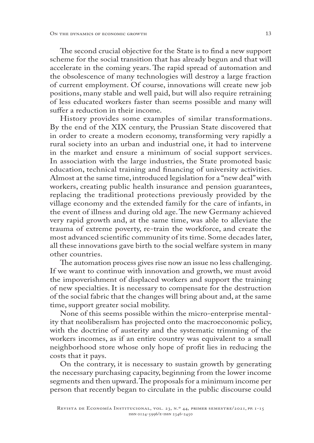The second crucial objective for the State is to find a new support scheme for the social transition that has already begun and that will accelerate in the coming years. The rapid spread of automation and the obsolescence of many technologies will destroy a large fraction of current employment. Of course, innovations will create new job positions, many stable and well paid, but will also require retraining of less educated workers faster than seems possible and many will suffer a reduction in their income.

History provides some examples of similar transformations. By the end of the XIX century, the Prussian State discovered that in order to create a modern economy, transforming very rapidly a rural society into an urban and industrial one, it had to intervene in the market and ensure a minimum of social support services. In association with the large industries, the State promoted basic education, technical training and financing of university activities. Almost at the same time, introduced legislation for a "new deal" with workers, creating public health insurance and pension guarantees, replacing the traditional protections previously provided by the village economy and the extended family for the care of infants, in the event of illness and during old age. The new Germany achieved very rapid growth and, at the same time, was able to alleviate the trauma of extreme poverty, re-train the workforce, and create the most advanced scientific community of its time. Some decades later, all these innovations gave birth to the social welfare system in many other countries.

The automation process gives rise now an issue no less challenging. If we want to continue with innovation and growth, we must avoid the impoverishment of displaced workers and support the training of new specialties. It is necessary to compensate for the destruction of the social fabric that the changes will bring about and, at the same time, support greater social mobility.

None of this seems possible within the micro-enterprise mentality that neoliberalism has projected onto the macroeconomic policy, with the doctrine of austerity and the systematic trimming of the workers incomes, as if an entire country was equivalent to a small neighborhood store whose only hope of profit lies in reducing the costs that it pays.

On the contrary, it is necessary to sustain growth by generating the necessary purchasing capacity, beginning from the lower income segments and then upward. The proposals for a minimum income per person that recently began to circulate in the public discourse could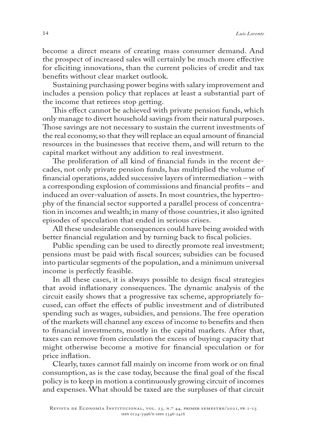become a direct means of creating mass consumer demand. And the prospect of increased sales will certainly be much more effective for eliciting innovations, than the current policies of credit and tax benefits without clear market outlook.

Sustaining purchasing power begins with salary improvement and includes a pension policy that replaces at least a substantial part of the income that retirees stop getting.

This effect cannot be achieved with private pension funds, which only manage to divert household savings from their natural purposes. Those savings are not necessary to sustain the current investments of the real economy, so that they will replace an equal amount of financial resources in the businesses that receive them, and will return to the capital market without any addition to real investment.

The proliferation of all kind of financial funds in the recent decades, not only private pension funds, has multiplied the volume of financial operations, added successive layers of intermediation – with a corresponding explosion of commissions and financial profits – and induced an over-valuation of assets. In most countries, the hypertrophy of the financial sector supported a parallel process of concentration in incomes and wealth; in many of those countries, it also ignited episodes of speculation that ended in serious crises.

All these undesirable consequences could have being avoided with better financial regulation and by turning back to fiscal policies.

Public spending can be used to directly promote real investment; pensions must be paid with fiscal sources; subsidies can be focused into particular segments of the population, and a minimum universal income is perfectly feasible.

In all these cases, it is always possible to design fiscal strategies that avoid inflationary consequences. The dynamic analysis of the circuit easily shows that a progressive tax scheme, appropriately focused, can offset the effects of public investment and of distributed spending such as wages, subsidies, and pensions. The free operation of the markets will channel any excess of income to benefits and then to financial investments, mostly in the capital markets. After that, taxes can remove from circulation the excess of buying capacity that might otherwise become a motive for financial speculation or for price inflation.

Clearly, taxes cannot fall mainly on income from work or on final consumption, as is the case today, because the final goal of the fiscal policy is to keep in motion a continuously growing circuit of incomes and expenses. What should be taxed are the surpluses of that circuit